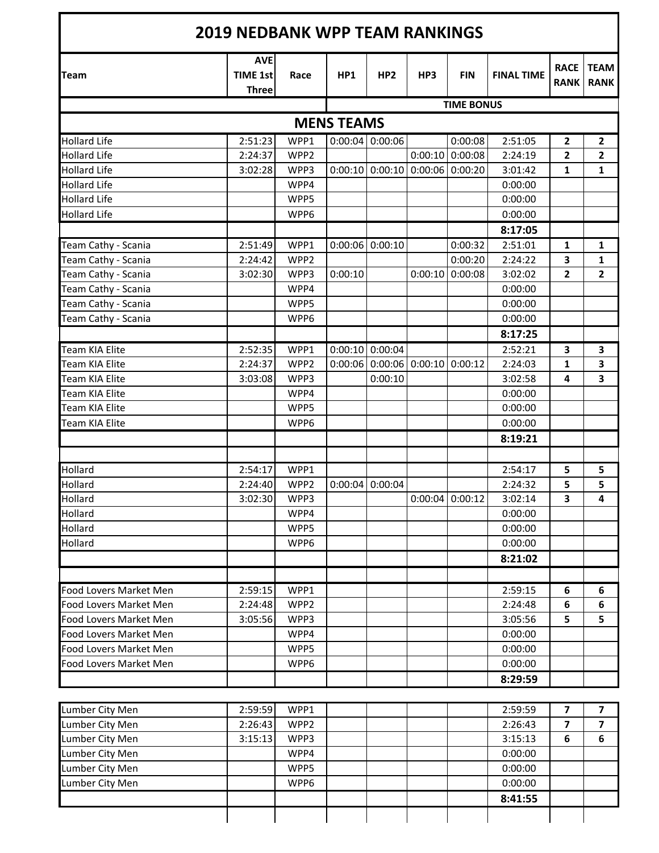| <b>2019 NEDBANK WPP TEAM RANKINGS</b> |                                               |                  |                   |                                   |         |                   |                   |                            |                            |  |
|---------------------------------------|-----------------------------------------------|------------------|-------------------|-----------------------------------|---------|-------------------|-------------------|----------------------------|----------------------------|--|
| <b>Team</b>                           | <b>AVE</b><br><b>TIME 1st</b><br><b>Three</b> | Race             | HP1               | HP <sub>2</sub>                   | HP3     | <b>FIN</b>        | <b>FINAL TIME</b> | <b>RACE</b><br><b>RANK</b> | <b>TEAM</b><br><b>RANK</b> |  |
|                                       |                                               |                  |                   |                                   |         | <b>TIME BONUS</b> |                   |                            |                            |  |
|                                       |                                               |                  | <b>MENS TEAMS</b> |                                   |         |                   |                   |                            |                            |  |
| <b>Hollard Life</b>                   | 2:51:23                                       | WPP1             |                   | $0:00:04$ 0:00:06                 |         | 0:00:08           | 2:51:05           | $\overline{2}$             | $\mathbf{2}$               |  |
| <b>Hollard Life</b>                   | 2:24:37                                       | WPP2             |                   |                                   |         | $0:00:10$ 0:00:08 | 2:24:19           | $\overline{2}$             | $\overline{2}$             |  |
| <b>Hollard Life</b>                   | 3:02:28                                       | WPP3             |                   | $0:00:10$ 0:00:10                 |         | $0:00:06$ 0:00:20 | 3:01:42           | 1                          | $\mathbf{1}$               |  |
| <b>Hollard Life</b>                   |                                               | WPP4             |                   |                                   |         |                   | 0:00:00           |                            |                            |  |
| <b>Hollard Life</b>                   |                                               | WPP5             |                   |                                   |         |                   | 0:00:00           |                            |                            |  |
| <b>Hollard Life</b>                   |                                               | WPP6             |                   |                                   |         |                   | 0:00:00           |                            |                            |  |
|                                       |                                               |                  |                   |                                   |         |                   | 8:17:05           |                            |                            |  |
| Team Cathy - Scania                   | 2:51:49                                       | WPP1             |                   | $0:00:06$ 0:00:10                 |         | 0:00:32           | 2:51:01           | $\mathbf{1}$               | 1                          |  |
| Team Cathy - Scania                   | 2:24:42                                       | WPP <sub>2</sub> |                   |                                   |         | 0:00:20           | 2:24:22           | 3                          | $\mathbf{1}$               |  |
| Team Cathy - Scania                   | 3:02:30                                       | WPP3             | 0:00:10           |                                   | 0:00:10 | 0:00:08           | 3:02:02           | 2                          | $\overline{\mathbf{2}}$    |  |
| Team Cathy - Scania                   |                                               | WPP4             |                   |                                   |         |                   | 0:00:00           |                            |                            |  |
| Team Cathy - Scania                   |                                               | WPP5             |                   |                                   |         |                   | 0:00:00           |                            |                            |  |
| Team Cathy - Scania                   |                                               | WPP6             |                   |                                   |         |                   | 0:00:00           |                            |                            |  |
|                                       |                                               |                  |                   |                                   |         |                   | 8:17:25           |                            |                            |  |
| Team KIA Elite                        | 2:52:35                                       | WPP1             |                   | $0:00:10$ 0:00:04                 |         |                   | 2:52:21           | 3                          | 3                          |  |
| <b>Team KIA Elite</b>                 | 2:24:37                                       | WPP2             |                   | $0:00:06$ 0:00:06 0:00:10 0:00:12 |         |                   | 2:24:03           | 1                          | 3                          |  |
| <b>Team KIA Elite</b>                 | 3:03:08                                       | WPP3             |                   | 0:00:10                           |         |                   | 3:02:58           | 4                          | 3                          |  |
| <b>Team KIA Elite</b>                 |                                               | WPP4             |                   |                                   |         |                   | 0:00:00           |                            |                            |  |
| <b>Team KIA Elite</b>                 |                                               | WPP5             |                   |                                   |         |                   | 0:00:00           |                            |                            |  |
| <b>Team KIA Elite</b>                 |                                               | WPP6             |                   |                                   |         |                   | 0:00:00           |                            |                            |  |
|                                       |                                               |                  |                   |                                   |         |                   | 8:19:21           |                            |                            |  |
|                                       |                                               |                  |                   |                                   |         |                   |                   |                            |                            |  |
| Hollard                               | 2:54:17                                       | WPP1             |                   |                                   |         |                   | 2:54:17           | 5                          | 5                          |  |
| Hollard                               | 2:24:40                                       | WPP <sub>2</sub> | 0:00:04           | 0:00:04                           |         |                   | 2:24:32           | 5                          | 5                          |  |
| Hollard                               | 3:02:30                                       | WPP3             |                   |                                   |         | $0:00:04$ 0:00:12 | 3:02:14           | 3                          | Δ                          |  |
| Hollard                               |                                               | WPP4             |                   |                                   |         |                   | 0:00:00           |                            |                            |  |
| Hollard                               |                                               | WPP5             |                   |                                   |         |                   | 0:00:00           |                            |                            |  |
| Hollard                               |                                               | WPP6             |                   |                                   |         |                   | 0:00:00           |                            |                            |  |
|                                       |                                               |                  |                   |                                   |         |                   | 8:21:02           |                            |                            |  |
|                                       |                                               |                  |                   |                                   |         |                   |                   |                            |                            |  |
| Food Lovers Market Men                | 2:59:15                                       | WPP1             |                   |                                   |         |                   | 2:59:15           | 6                          | 6                          |  |
| Food Lovers Market Men                | 2:24:48                                       | WPP2             |                   |                                   |         |                   | 2:24:48           | 6                          | $\boldsymbol{6}$           |  |
| Food Lovers Market Men                | 3:05:56                                       | WPP3             |                   |                                   |         |                   | 3:05:56           | 5                          | 5                          |  |
| Food Lovers Market Men                |                                               | WPP4             |                   |                                   |         |                   | 0:00:00           |                            |                            |  |
| Food Lovers Market Men                |                                               | WPP5             |                   |                                   |         |                   | 0:00:00           |                            |                            |  |
| Food Lovers Market Men                |                                               | WPP6             |                   |                                   |         |                   | 0:00:00           |                            |                            |  |
|                                       |                                               |                  |                   |                                   |         |                   | 8:29:59           |                            |                            |  |
|                                       |                                               |                  |                   |                                   |         |                   |                   |                            |                            |  |
| Lumber City Men                       | 2:59:59                                       | WPP1             |                   |                                   |         |                   | 2:59:59           | 7                          | 7                          |  |
| Lumber City Men                       | 2:26:43                                       | WPP2             |                   |                                   |         |                   | 2:26:43           | $\overline{\mathbf{z}}$    | $\overline{\mathbf{z}}$    |  |
| Lumber City Men                       | 3:15:13                                       | WPP3             |                   |                                   |         |                   | 3:15:13           | 6                          | 6                          |  |
| Lumber City Men                       |                                               | WPP4             |                   |                                   |         |                   | 0:00:00           |                            |                            |  |
| Lumber City Men                       |                                               | WPP5             |                   |                                   |         |                   | 0:00:00           |                            |                            |  |
| Lumber City Men                       |                                               | WPP6             |                   |                                   |         |                   | 0:00:00           |                            |                            |  |
|                                       |                                               |                  |                   |                                   |         |                   | 8:41:55           |                            |                            |  |
|                                       |                                               |                  |                   |                                   |         |                   |                   |                            |                            |  |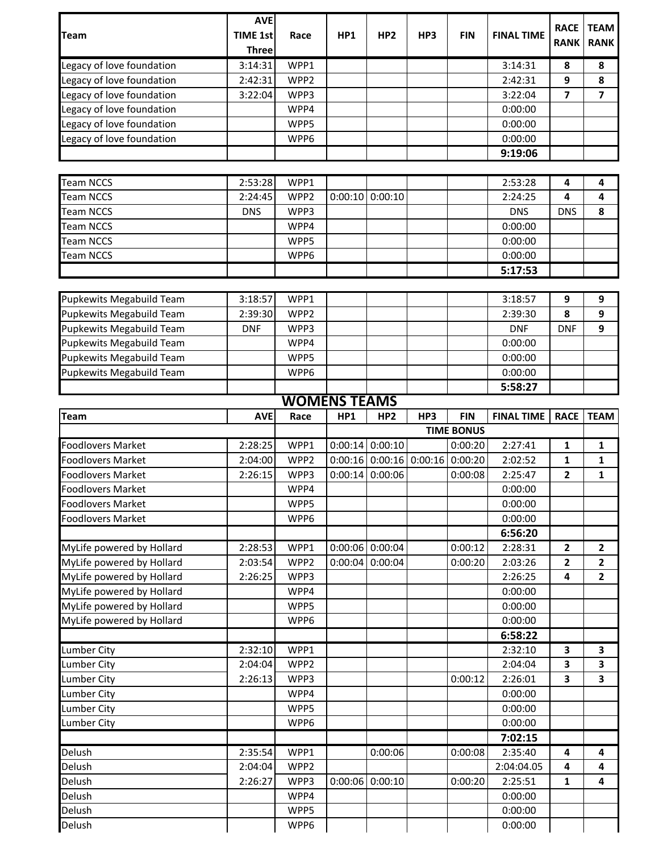| <b>Team</b>                                            | <b>AVE</b><br><b>TIME 1st</b><br><b>Three</b> | Race             | HP1                 | HP <sub>2</sub>           | HP3 | <b>FIN</b>        | <b>FINAL TIME</b>  | <b>RACE</b><br><b>RANK</b> | <b>TEAM</b><br><b>RANK</b>   |
|--------------------------------------------------------|-----------------------------------------------|------------------|---------------------|---------------------------|-----|-------------------|--------------------|----------------------------|------------------------------|
| Legacy of love foundation                              | 3:14:31                                       | WPP1             |                     |                           |     |                   | 3:14:31            | 8                          | 8                            |
| egacy of love foundation                               | 2:42:31                                       | WPP <sub>2</sub> |                     |                           |     |                   | 2:42:31            | 9                          | 8                            |
| Legacy of love foundation                              | 3:22:04                                       | WPP3             |                     |                           |     |                   | 3:22:04            | 7                          | $\overline{\mathbf{z}}$      |
| egacy of love foundation                               |                                               | WPP4             |                     |                           |     |                   | 0:00:00            |                            |                              |
| egacy of love foundation                               |                                               | WPP5             |                     |                           |     |                   | 0:00:00            |                            |                              |
| egacy of love foundation                               |                                               | WPP6             |                     |                           |     |                   | 0:00:00            |                            |                              |
|                                                        |                                               |                  |                     |                           |     |                   | 9:19:06            |                            |                              |
|                                                        |                                               |                  |                     |                           |     |                   |                    |                            |                              |
| <b>Team NCCS</b>                                       | 2:53:28                                       | WPP1             |                     |                           |     |                   | 2:53:28            | 4                          | 4                            |
| <b>Team NCCS</b>                                       | 2:24:45                                       | WPP <sub>2</sub> | 0:00:10             | 0:00:10                   |     |                   | 2:24:25            | 4                          | 4                            |
| <b>Team NCCS</b>                                       | <b>DNS</b>                                    | WPP3             |                     |                           |     |                   | <b>DNS</b>         | <b>DNS</b>                 | 8                            |
| <b>Team NCCS</b>                                       |                                               | WPP4             |                     |                           |     |                   | 0:00:00            |                            |                              |
| <b>Team NCCS</b>                                       |                                               | WPP5             |                     |                           |     |                   | 0:00:00            |                            |                              |
| <b>Team NCCS</b>                                       |                                               | WPP6             |                     |                           |     |                   | 0:00:00            |                            |                              |
|                                                        |                                               |                  |                     |                           |     |                   | 5:17:53            |                            |                              |
|                                                        |                                               |                  |                     |                           |     |                   |                    |                            |                              |
| Pupkewits Megabuild Team                               | 3:18:57                                       | WPP1             |                     |                           |     |                   | 3:18:57            | 9                          | 9                            |
| Pupkewits Megabuild Team                               | 2:39:30                                       | WPP2             |                     |                           |     |                   | 2:39:30            | 8                          | 9                            |
| Pupkewits Megabuild Team                               | <b>DNF</b>                                    | WPP3             |                     |                           |     |                   | <b>DNF</b>         | <b>DNF</b>                 | 9                            |
| Pupkewits Megabuild Team                               |                                               | WPP4             |                     |                           |     |                   | 0:00:00            |                            |                              |
| Pupkewits Megabuild Team                               |                                               | WPP5             |                     |                           |     |                   | 0:00:00            |                            |                              |
| Pupkewits Megabuild Team                               |                                               | WPP6             |                     |                           |     |                   | 0:00:00            |                            |                              |
|                                                        |                                               |                  |                     |                           |     |                   | 5:58:27            |                            |                              |
|                                                        |                                               |                  | <b>WOMENS TEAMS</b> |                           |     |                   |                    |                            |                              |
| <b>Team</b>                                            | <b>AVE</b>                                    | Race             | HP1                 | HP <sub>2</sub>           | HP3 | <b>FIN</b>        | <b>FINAL TIME</b>  | <b>RACE</b>                | <b>TEAM</b>                  |
|                                                        |                                               |                  |                     |                           |     | <b>TIME BONUS</b> |                    |                            |                              |
| <b>Foodlovers Market</b>                               | 2:28:25                                       | WPP1             |                     | $0:00:14$ 0:00:10         |     | 0:00:20           | 2:27:41            | 1                          | 1                            |
| <b>Foodlovers Market</b>                               | 2:04:00                                       | WPP2             |                     | $0:00:16$ 0:00:16 0:00:16 |     | 0:00:20           | 2:02:52            | 1                          | 1                            |
| <b>Foodlovers Market</b>                               | 2:26:15                                       | WPP3             | 0:00:14             | 0:00:06                   |     | 0:00:08           | 2:25:47            | 2                          | 1                            |
| <b>Foodlovers Market</b>                               |                                               | WPP4             |                     |                           |     |                   | 0:00:00            |                            |                              |
| <b>Foodlovers Market</b>                               |                                               | WPP5             |                     |                           |     |                   | 0:00:00            |                            |                              |
| <b>Foodlovers Market</b>                               |                                               | WPP6             |                     |                           |     |                   | 0:00:00            |                            |                              |
|                                                        |                                               |                  |                     |                           |     |                   | 6:56:20            |                            |                              |
| MyLife powered by Hollard                              | 2:28:53                                       | WPP1             |                     | $0:00:06$ 0:00:04         |     | 0:00:12           | 2:28:31            | $\overline{2}$             | $\overline{2}$               |
| MyLife powered by Hollard                              | 2:03:54                                       | WPP2             | 0:00:04             | 0:00:04                   |     | 0:00:20           | 2:03:26            | $\overline{2}$             | 2                            |
| MyLife powered by Hollard                              | 2:26:25                                       | WPP3             |                     |                           |     |                   | 2:26:25            | 4                          | $\mathbf{2}$                 |
| MyLife powered by Hollard                              |                                               | WPP4             |                     |                           |     |                   | 0:00:00            |                            |                              |
| MyLife powered by Hollard<br>MyLife powered by Hollard |                                               | WPP5             |                     |                           |     |                   | 0:00:00            |                            |                              |
|                                                        |                                               | WPP6             |                     |                           |     |                   | 0:00:00<br>6:58:22 |                            |                              |
|                                                        |                                               |                  |                     |                           |     |                   |                    | 3                          |                              |
| Lumber City<br>Lumber City                             | 2:32:10<br>2:04:04                            | WPP1<br>WPP2     |                     |                           |     |                   | 2:32:10<br>2:04:04 | 3                          | 3<br>$\overline{\mathbf{3}}$ |
| Lumber City                                            |                                               | WPP3             |                     |                           |     | 0:00:12           | 2:26:01            | 3                          | 3                            |
| Lumber City                                            |                                               |                  |                     |                           |     |                   |                    |                            |                              |
|                                                        | 2:26:13                                       |                  |                     |                           |     |                   |                    |                            |                              |
| Lumber City                                            |                                               | WPP4             |                     |                           |     |                   | 0:00:00            |                            |                              |
|                                                        |                                               | WPP5             |                     |                           |     |                   | 0:00:00            |                            |                              |
| Lumber City                                            |                                               | WPP6             |                     |                           |     |                   | 0:00:00            |                            |                              |
|                                                        |                                               |                  |                     |                           |     |                   | 7:02:15            |                            |                              |
| Delush                                                 | 2:35:54                                       | WPP1             |                     | 0:00:06                   |     | 0:00:08           | 2:35:40            | 4                          | 4                            |
| Delush                                                 | 2:04:04                                       | WPP2             |                     |                           |     |                   | 2:04:04.05         | 4                          | 4                            |
| Delush                                                 | 2:26:27                                       | WPP3             | 0:00:06             | 0:00:10                   |     | 0:00:20           | 2:25:51            | 1                          | 4                            |
| Delush<br>Delush                                       |                                               | WPP4<br>WPP5     |                     |                           |     |                   | 0:00:00<br>0:00:00 |                            |                              |